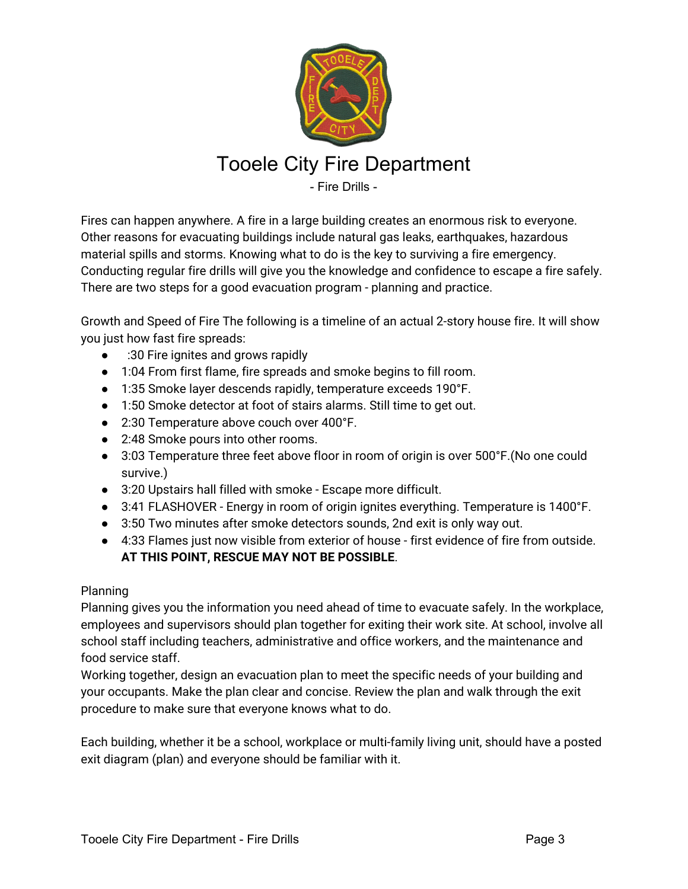

## Tooele City Fire Department

- Fire Drills -

Fires can happen anywhere. A fire in a large building creates an enormous risk to everyone. Other reasons for evacuating buildings include natural gas leaks, earthquakes, hazardous material spills and storms. Knowing what to do is the key to surviving a fire emergency. Conducting regular fire drills will give you the knowledge and confidence to escape a fire safely. There are two steps for a good evacuation program - planning and practice.

Growth and Speed of Fire The following is a timeline of an actual 2-story house fire. It will show you just how fast fire spreads:

- :30 Fire ignites and grows rapidly
- 1:04 From first flame, fire spreads and smoke begins to fill room.
- 1:35 Smoke layer descends rapidly, temperature exceeds 190°F.
- 1:50 Smoke detector at foot of stairs alarms. Still time to get out.
- 2:30 Temperature above couch over 400°F.
- 2:48 Smoke pours into other rooms.
- 3:03 Temperature three feet above floor in room of origin is over 500°F. (No one could survive.)
- 3:20 Upstairs hall filled with smoke Escape more difficult.
- 3:41 FLASHOVER Energy in room of origin ignites everything. Temperature is 1400°F.
- 3:50 Two minutes after smoke detectors sounds, 2nd exit is only way out.
- 4:33 Flames just now visible from exterior of house first evidence of fire from outside. **AT THIS POINT, RESCUE MAY NOT BE POSSIBLE**.

## Planning

Planning gives you the information you need ahead of time to evacuate safely. In the workplace, employees and supervisors should plan together for exiting their work site. At school, involve all school staff including teachers, administrative and office workers, and the maintenance and food service staff.

Working together, design an evacuation plan to meet the specific needs of your building and your occupants. Make the plan clear and concise. Review the plan and walk through the exit procedure to make sure that everyone knows what to do.

Each building, whether it be a school, workplace or multi-family living unit, should have a posted exit diagram (plan) and everyone should be familiar with it.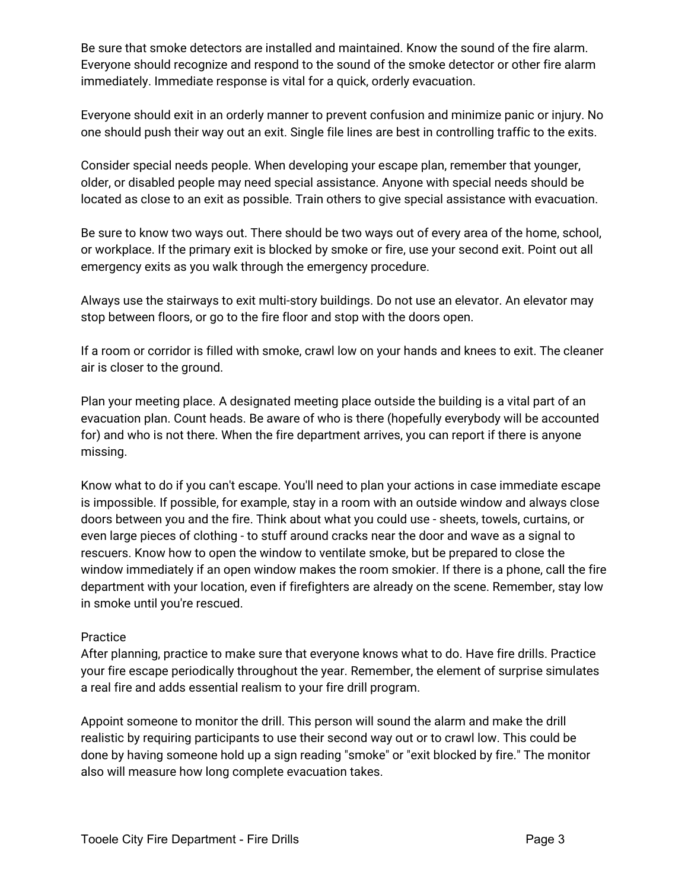Be sure that smoke detectors are installed and maintained. Know the sound of the fire alarm. Everyone should recognize and respond to the sound of the smoke detector or other fire alarm immediately. Immediate response is vital for a quick, orderly evacuation.

Everyone should exit in an orderly manner to prevent confusion and minimize panic or injury. No one should push their way out an exit. Single file lines are best in controlling traffic to the exits.

Consider special needs people. When developing your escape plan, remember that younger, older, or disabled people may need special assistance. Anyone with special needs should be located as close to an exit as possible. Train others to give special assistance with evacuation.

Be sure to know two ways out. There should be two ways out of every area of the home, school, or workplace. If the primary exit is blocked by smoke or fire, use your second exit. Point out all emergency exits as you walk through the emergency procedure.

Always use the stairways to exit multi-story buildings. Do not use an elevator. An elevator may stop between floors, or go to the fire floor and stop with the doors open.

If a room or corridor is filled with smoke, crawl low on your hands and knees to exit. The cleaner air is closer to the ground.

Plan your meeting place. A designated meeting place outside the building is a vital part of an evacuation plan. Count heads. Be aware of who is there (hopefully everybody will be accounted for) and who is not there. When the fire department arrives, you can report if there is anyone missing.

Know what to do if you can't escape. You'll need to plan your actions in case immediate escape is impossible. If possible, for example, stay in a room with an outside window and always close doors between you and the fire. Think about what you could use - sheets, towels, curtains, or even large pieces of clothing - to stuff around cracks near the door and wave as a signal to rescuers. Know how to open the window to ventilate smoke, but be prepared to close the window immediately if an open window makes the room smokier. If there is a phone, call the fire department with your location, even if firefighters are already on the scene. Remember, stay low in smoke until you're rescued.

## Practice

After planning, practice to make sure that everyone knows what to do. Have fire drills. Practice your fire escape periodically throughout the year. Remember, the element of surprise simulates a real fire and adds essential realism to your fire drill program.

Appoint someone to monitor the drill. This person will sound the alarm and make the drill realistic by requiring participants to use their second way out or to crawl low. This could be done by having someone hold up a sign reading "smoke" or "exit blocked by fire." The monitor also will measure how long complete evacuation takes.